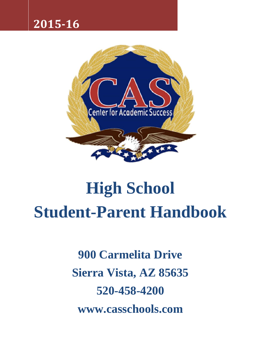# **2015-16**



# **High School Student-Parent Handbook**

**900 Carmelita Drive Sierra Vista, AZ 85635 520-458-4200 www.casschools.com**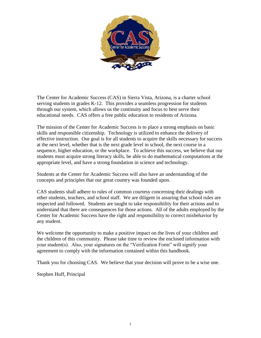

The Center for Academic Success (CAS) in Sierra Vista, Arizona, is a charter school serving students in grades K-12. This provides a seamless progression for students through our system, which allows us the continuity and focus to best serve their educational needs. CAS offers a free public education to residents of Arizona.

The mission of the Center for Academic Success is to place a strong emphasis on basic skills and responsible citizenship. Technology is utilized to enhance the delivery of effective instruction. Our goal is for all students to acquire the skills necessary for success at the next level, whether that is the next grade level in school, the next course in a sequence, higher education, or the workplace. To achieve this success, we believe that our students must acquire strong literacy skills, be able to do mathematical computations at the appropriate level, and have a strong foundation in science and technology.

Students at the Center for Academic Success will also have an understanding of the concepts and principles that our great country was founded upon.

CAS students shall adhere to rules of common courtesy concerning their dealings with other students, teachers, and school staff. We are diligent in assuring that school rules are respected and followed. Students are taught to take responsibility for their actions and to understand that there are consequences for those actions. All of the adults employed by the Center for Academic Success have the right and responsibility to correct misbehavior by any student.

We welcome the opportunity to make a positive impact on the lives of your children and the children of this community. Please take time to review the enclosed information with your student(s). Also, your signatures on the "Verification Form" will signify your agreement to comply with the information contained within this handbook.

Thank you for choosing CAS. We believe that your decision will prove to be a wise one.

Stephen Huff, Principal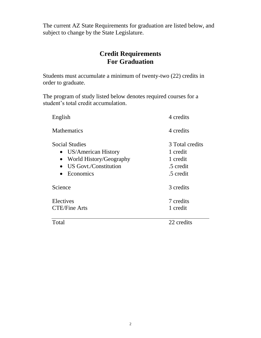The current AZ State Requirements for graduation are listed below, and subject to change by the State Legislature.

# **Credit Requirements For Graduation**

Students must accumulate a minimum of twenty-two (22) credits in order to graduate.

The program of study listed below denotes required courses for a student's total credit accumulation.

| English                                                                                                         | 4 credits                                                         |
|-----------------------------------------------------------------------------------------------------------------|-------------------------------------------------------------------|
| <b>Mathematics</b>                                                                                              | 4 credits                                                         |
| <b>Social Studies</b><br>• US/American History<br>World History/Geography<br>US Govt./Constitution<br>Economics | 3 Total credits<br>1 credit<br>1 credit<br>.5 credit<br>.5 credit |
| Science                                                                                                         | 3 credits                                                         |
| Electives<br><b>CTE/Fine Arts</b>                                                                               | 7 credits<br>1 credit                                             |
| Total                                                                                                           | 22 credits                                                        |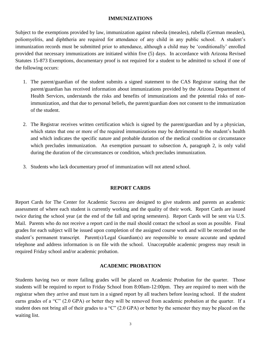#### **IMMUNIZATIONS**

Subject to the exemptions provided by law, immunization against rubeola (measles), rubella (German measles), poliomyelitis, and diphtheria are required for attendance of any child in any public school. A student's immunization records must be submitted prior to attendance, although a child may be 'conditionally' enrolled provided that necessary immunizations are initiated within five (5) days. In accordance with Arizona Revised Statutes 15-873 Exemptions, documentary proof is not required for a student to be admitted to school if one of the following occurs:

- 1. The parent/guardian of the student submits a signed statement to the CAS Registrar stating that the parent/guardian has received information about immunizations provided by the Arizona Department of Health Services, understands the risks and benefits of immunizations and the potential risks of nonimmunization, and that due to personal beliefs, the parent/guardian does not consent to the immunization of the student.
- 2. The Registrar receives written certification which is signed by the parent/guardian and by a physician, which states that one or more of the required immunizations may be detrimental to the student's health and which indicates the specific nature and probable duration of the medical condition or circumstance which precludes immunization. An exemption pursuant to subsection A, paragraph 2, is only valid during the duration of the circumstances or condition, which precludes immunization.
- 3. Students who lack documentary proof of immunization will not attend school.

#### **REPORT CARDS**

Report Cards for The Center for Academic Success are designed to give students and parents an academic assessment of where each student is currently working and the quality of their work. Report Cards are issued twice during the school year (at the end of the fall and spring semesters). Report Cards will be sent via U.S. Mail. Parents who do not receive a report card in the mail should contact the school as soon as possible. Final grades for each subject will be issued upon completion of the assigned course work and will be recorded on the student's permanent transcript. Parent(s)/Legal Guardian(s) are responsible to ensure accurate and updated telephone and address information is on file with the school. Unacceptable academic progress may result in required Friday school and/or academic probation.

#### **ACADEMIC PROBATION**

Students having two or more failing grades will be placed on Academic Probation for the quarter. Those students will be required to report to Friday School from 8:00am-12:00pm. They are required to meet with the registrar when they arrive and must turn in a signed report by all teachers before leaving school. If the student earns grades of a "C" (2.0 GPA) or better they will be removed from academic probation at the quarter. If a student does not bring all of their grades to a "C" (2.0 GPA) or better by the semester they may be placed on the waiting list.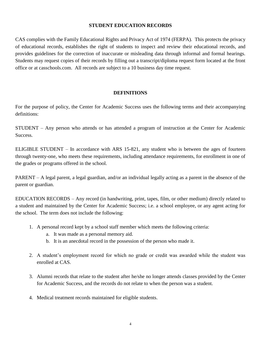#### **STUDENT EDUCATION RECORDS**

CAS complies with the Family Educational Rights and Privacy Act of 1974 (FERPA). This protects the privacy of educational records, establishes the right of students to inspect and review their educational records, and provides guidelines for the correction of inaccurate or misleading data through informal and formal hearings. Students may request copies of their records by filling out a transcript/diploma request form located at the front office or at casschools.com. All records are subject to a 10 business day time request.

#### **DEFINITIONS**

For the purpose of policy, the Center for Academic Success uses the following terms and their accompanying definitions:

STUDENT – Any person who attends or has attended a program of instruction at the Center for Academic Success.

ELIGIBLE STUDENT – In accordance with ARS 15-821, any student who is between the ages of fourteen through twenty-one, who meets these requirements, including attendance requirements, for enrollment in one of the grades or programs offered in the school.

PARENT – A legal parent, a legal guardian, and/or an individual legally acting as a parent in the absence of the parent or guardian.

EDUCATION RECORDS – Any record (in handwriting, print, tapes, film, or other medium) directly related to a student and maintained by the Center for Academic Success; i.e. a school employee, or any agent acting for the school. The term does not include the following:

- 1. A personal record kept by a school staff member which meets the following criteria:
	- a. It was made as a personal memory aid.
	- b. It is an anecdotal record in the possession of the person who made it.
- 2. A student's employment record for which no grade or credit was awarded while the student was enrolled at CAS.
- 3. Alumni records that relate to the student after he/she no longer attends classes provided by the Center for Academic Success, and the records do not relate to when the person was a student.
- 4. Medical treatment records maintained for eligible students.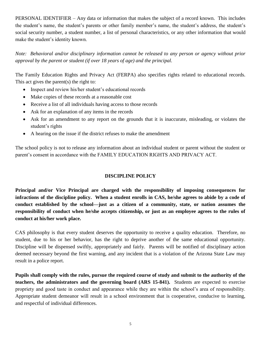PERSONAL IDENTIFIER – Any data or information that makes the subject of a record known. This includes the student's name, the student's parents or other family member's name, the student's address, the student's social security number, a student number, a list of personal characteristics, or any other information that would make the student's identity known.

*Note: Behavioral and/or disciplinary information cannot be released to any person or agency without prior approval by the parent or student (if over 18 years of age) and the principal.*

The Family Education Rights and Privacy Act (FERPA) also specifies rights related to educational records. This act gives the parent(s) the right to:

- Inspect and review his/her student's educational records
- Make copies of these records at a reasonable cost
- Receive a list of all individuals having access to those records
- Ask for an explanation of any items in the records
- Ask for an amendment to any report on the grounds that it is inaccurate, misleading, or violates the student's rights
- A hearing on the issue if the district refuses to make the amendment

The school policy is not to release any information about an individual student or parent without the student or parent's consent in accordance with the FAMILY EDUCATION RIGHTS AND PRIVACY ACT.

#### **DISCIPLINE POLICY**

**Principal and/or Vice Principal are charged with the responsibility of imposing consequences for infractions of the discipline policy. When a student enrolls in CAS, he/she agrees to abide by a code of conduct established by the school—just as a citizen of a community, state, or nation assumes the responsibility of conduct when he/she accepts citizenship, or just as an employee agrees to the rules of conduct at his/her work place.**

CAS philosophy is that every student deserves the opportunity to receive a quality education. Therefore, no student, due to his or her behavior, has the right to deprive another of the same educational opportunity. Discipline will be dispensed swiftly, appropriately and fairly. Parents will be notified of disciplinary action deemed necessary beyond the first warning, and any incident that is a violation of the Arizona State Law may result in a police report.

**Pupils shall comply with the rules, pursue the required course of study and submit to the authority of the teachers, the administrators and the governing board (ARS 15-841).** Students are expected to exercise propriety and good taste in conduct and appearance while they are within the school's area of responsibility. Appropriate student demeanor will result in a school environment that is cooperative, conducive to learning, and respectful of individual differences.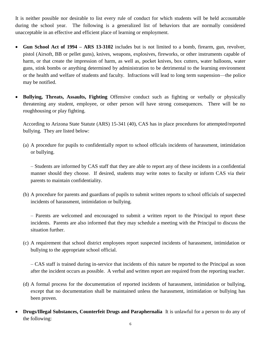It is neither possible nor desirable to list every rule of conduct for which students will be held accountable during the school year. The following is a generalized list of behaviors that are normally considered unacceptable in an effective and efficient place of learning or employment.

- **Gun School Act of 1994 – ARS 13-3102** includes but is not limited to a bomb, firearm, gun, revolver, pistol (Airsoft, BB or pellet guns), knives, weapons, explosives, fireworks, or other instruments capable of harm, or that create the impression of harm, as well as, pocket knives, box cutters, water balloons, water guns, stink bombs or anything determined by administration to be detrimental to the learning environment or the health and welfare of students and faculty. Infractions will lead to long term suspension—the police may be notified.
- **Bullying, Threats, Assaults, Fighting** Offensive conduct such as fighting or verbally or physically threatening any student, employee, or other person will have strong consequences. There will be no roughhousing or play fighting.

According to Arizona State Statute (ARS) 15-341 (40), CAS has in place procedures for attempted/reported bullying. They are listed below:

(a) A procedure for pupils to confidentially report to school officials incidents of harassment, intimidation or bullying.

– Students are informed by CAS staff that they are able to report any of these incidents in a confidential manner should they choose. If desired, students may write notes to faculty or inform CAS via their parents to maintain confidentiality.

(b) A procedure for parents and guardians of pupils to submit written reports to school officials of suspected incidents of harassment, intimidation or bullying.

– Parents are welcomed and encouraged to submit a written report to the Principal to report these incidents. Parents are also informed that they may schedule a meeting with the Principal to discuss the situation further.

(c) A requirement that school district employees report suspected incidents of harassment, intimidation or bullying to the appropriate school official.

– CAS staff is trained during in-service that incidents of this nature be reported to the Principal as soon after the incident occurs as possible. A verbal and written report are required from the reporting teacher.

- (d) A formal process for the documentation of reported incidents of harassment, intimidation or bullying, except that no documentation shall be maintained unless the harassment, intimidation or bullying has been proven.
- **Drugs/Illegal Substances, Counterfeit Drugs and Paraphernalia** It is unlawful for a person to do any of the following: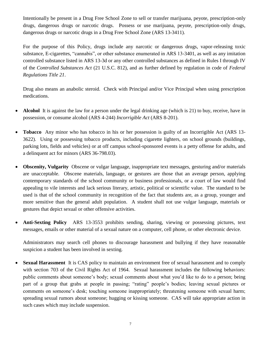Intentionally be present in a Drug Free School Zone to sell or transfer marijuana, peyote, prescription-only drugs, dangerous drugs or narcotic drugs. Possess or use marijuana, peyote, prescription-only drugs, dangerous drugs or narcotic drugs in a Drug Free School Zone (ARS 13-3411).

For the purpose of this Policy, drugs include any narcotic or dangerous drugs, vapor-releasing toxic substance, E-cigarettes, "cannabis", or other substance enumerated in ARS 13-3401, as well as any imitation controlled substance listed in ARS 13-3d or any other controlled substances as defined in Rules I through IV of the *Controlled Substances Act* (21 U.S.C. 812), and as further defined by regulation in code of *Federal Regulations Title 21*.

Drug also means an anabolic steroid. Check with Principal and/or Vice Principal when using prescription medications.

- **Alcohol** It is against the law for a person under the legal drinking age (which is 21) to buy, receive, have in possession, or consume alcohol (ARS 4-244) *Incorrigible Act* (ARS 8-201).
- **Tobacco** Any minor who has tobacco in his or her possession is guilty of an Incorrigible Act (ARS 13- 3622). Using or possessing tobacco products, including cigarette lighters, on school grounds (buildings, parking lots, fields and vehicles) or at off campus school-sponsored events is a petty offense for adults, and a delinquent act for minors (ARS 36-798.03).
- **Obscenity, Vulgarity** Obscene or vulgar language, inappropriate text messages, gesturing and/or materials are unacceptable. Obscene materials, language, or gestures are those that an average person, applying contemporary standards of the school community or business professionals, or a court of law would find appealing to vile interests and lack serious literary, artistic, political or scientific value. The standard to be used is that of the school community in recognition of the fact that students are, as a group, younger and more sensitive than the general adult population. A student shall not use vulgar language, materials or gestures that depict sexual or other offensive activities.
- **Anti-Sexting Policy** ARS 13-3553 prohibits sending, sharing, viewing or possessing pictures, text messages, emails or other material of a sexual nature on a computer, cell phone, or other electronic device.

Administrators may search cell phones to discourage harassment and bullying if they have reasonable suspicion a student has been involved in sexting.

 **Sexual Harassment** It is CAS policy to maintain an environment free of sexual harassment and to comply with section 703 of the Civil Rights Act of 1964. Sexual harassment includes the following behaviors: public comments about someone's body; sexual comments about what you'd like to do to a person; being part of a group that grabs at people in passing; "rating" people's bodies; leaving sexual pictures or comments on someone's desk; touching someone inappropriately; threatening someone with sexual harm; spreading sexual rumors about someone; hugging or kissing someone. CAS will take appropriate action in such cases which may include suspension.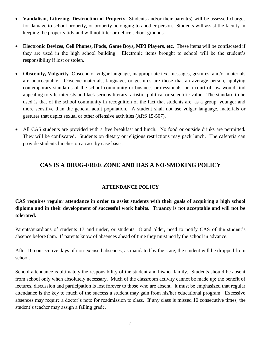- **Vandalism, Littering, Destruction of Property** Students and/or their parent(s) will be assessed charges for damage to school property, or property belonging to another person. Students will assist the faculty in keeping the property tidy and will not litter or deface school grounds.
- **Electronic Devices, Cell Phones, iPods, Game Boys, MP3 Players, etc.** These items will be confiscated if they are used in the high school building. Electronic items brought to school will be the student's responsibility if lost or stolen.
- **Obscenity, Vulgarity** Obscene or vulgar language, inappropriate text messages, gestures, and/or materials are unacceptable. Obscene materials, language, or gestures are those that an average person, applying contemporary standards of the school community or business professionals, or a court of law would find appealing to vile interests and lack serious literary, artistic, political or scientific value. The standard to be used is that of the school community in recognition of the fact that students are, as a group, younger and more sensitive than the general adult population. A student shall not use vulgar language, materials or gestures that depict sexual or other offensive activities (ARS 15-507).
- All CAS students are provided with a free breakfast and lunch. No food or outside drinks are permitted. They will be confiscated. Students on dietary or religious restrictions may pack lunch. The cafeteria can provide students lunches on a case by case basis.

## **CAS IS A DRUG-FREE ZONE AND HAS A NO-SMOKING POLICY**

#### **ATTENDANCE POLICY**

### **CAS requires regular attendance in order to assist students with their goals of acquiring a high school diploma and in their development of successful work habits. Truancy is not acceptable and will not be tolerated.**

Parents/guardians of students 17 and under, or students 18 and older, need to notify CAS of the student's absence before 8am. If parents know of absences ahead of time they must notify the school in advance.

After 10 consecutive days of non-excused absences, as mandated by the state, the student will be dropped from school.

School attendance is ultimately the responsibility of the student and his/her family. Students should be absent from school only when absolutely necessary. Much of the classroom activity cannot be made up; the benefit of lectures, discussion and participation is lost forever to those who are absent. It must be emphasized that regular attendance is the key to much of the success a student may gain from his/her educational program. Excessive absences may require a doctor's note for readmission to class. If any class is missed 10 consecutive times, the student's teacher may assign a failing grade.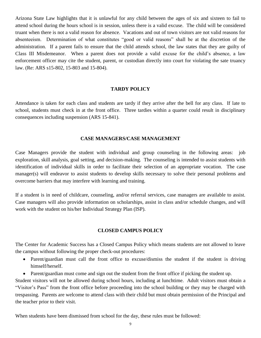Arizona State Law highlights that it is unlawful for any child between the ages of six and sixteen to fail to attend school during the hours school is in session, unless there is a valid excuse. The child will be considered truant when there is not a valid reason for absence. Vacations and out of town visitors are not valid reasons for absenteeism. Determination of what constitutes "good or valid reasons" shall be at the discretion of the administration. If a parent fails to ensure that the child attends school, the law states that they are guilty of Class III Misdemeanor. When a parent does not provide a valid excuse for the child's absence, a law enforcement officer may cite the student, parent, or custodian directly into court for violating the sate truancy law. (Re: ARS s15-802, 15-803 and 15-804).

#### **TARDY POLICY**

Attendance is taken for each class and students are tardy if they arrive after the bell for any class. If late to school, students must check in at the front office. Three tardies within a quarter could result in disciplinary consequences including suspension (ARS 15-841).

#### **CASE MANAGERS/CASE MANAGEMENT**

Case Managers provide the student with individual and group counseling in the following areas: job exploration, skill analysis, goal setting, and decision-making. The counseling is intended to assist students with identification of individual skills in order to facilitate their selection of an appropriate vocation. The case manager(s) will endeavor to assist students to develop skills necessary to solve their personal problems and overcome barriers that may interfere with learning and training.

If a student is in need of childcare, counseling, and/or referral services, case managers are available to assist. Case managers will also provide information on scholarships, assist in class and/or schedule changes, and will work with the student on his/her Individual Strategy Plan (ISP).

#### **CLOSED CAMPUS POLICY**

The Center for Academic Success has a Closed Campus Policy which means students are not allowed to leave the campus without following the proper check-out procedures:

- Parent/guardian must call the front office to excuse/dismiss the student if the student is driving himself/herself.
- Parent/guardian must come and sign out the student from the front office if picking the student up.

Student visitors will not be allowed during school hours, including at lunchtime. Adult visitors must obtain a "Visitor's Pass" from the front office before proceeding into the school building or they may be charged with trespassing. Parents are welcome to attend class with their child but must obtain permission of the Principal and the teacher prior to their visit.

When students have been dismissed from school for the day, these rules must be followed: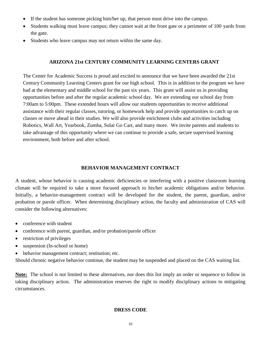- If the student has someone picking him/her up, that person must drive into the campus.
- Students walking must leave campus; they cannot wait at the front gate or a perimeter of 100 yards from the gate.
- Students who leave campus may not return within the same day.

#### **ARIZONA 21st CENTURY COMMUNITY LEARNING CENTERS GRANT**

The Center for Academic Success is proud and excited to announce that we have been awarded the 21st Century Community Learning Centers grant for our high school. This is in addition to the program we have had at the elementary and middle school for the past six years. This grant will assist us in providing opportunities before and after the regular academic school day. We are extending our school day from 7:00am to 5:00pm. These extended hours will allow our students opportunities to receive additional assistance with their regular classes, tutoring, or homework help and provide opportunities to catch up on classes or move ahead in their studies. We will also provide enrichment clubs and activities including Robotics, Wall Art, Yearbook, Zumba, Solar Go Cart, and many more. We invite parents and students to take advantage of this opportunity where we can continue to provide a safe, secure supervised learning environment, both before and after school.

#### **BEHAVIOR MANAGEMENT CONTRACT**

A student, whose behavior is causing academic deficiencies or interfering with a positive classroom learning climate will be required to take a more focused approach to his/her academic obligations and/or behavior. Initially, a behavior-management contract will be developed for the student, the parent, guardian, and/or probation or parole officer. When determining disciplinary action, the faculty and administration of CAS will consider the following alternatives:

- conference with student
- conference with parent, guardian, and/or probation/parole officer
- restriction of privileges
- suspension (In-school or home)
- behavior management contract; restitution; etc.

Should chronic negative behavior continue, the student may be suspended and placed on the CAS waiting list.

**Note:** The school is not limited to these alternatives, nor does this list imply an order or sequence to follow in taking disciplinary action. The administration reserves the right to modify disciplinary actions to mitigating circumstances.

#### **DRESS CODE**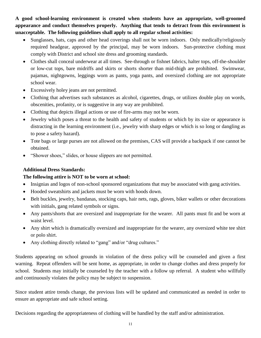**A good school-learning environment is created when students have an appropriate, well-groomed appearance and conduct themselves properly. Anything that tends to detract from this environment is unacceptable. The following guidelines shall apply to all regular school activities:**

- Sunglasses, hats, caps and other head coverings shall not be worn indoors. Only medically/religiously required headgear, approved by the principal, may be worn indoors. Sun-protective clothing must comply with District and school site dress and grooming standards.
- Clothes shall conceal underwear at all times. See-through or fishnet fabrics, halter tops, off-the-shoulder or low-cut tops, bare midriffs and skirts or shorts shorter than mid-thigh are prohibited. Swimwear, pajamas, nightgowns, leggings worn as pants, yoga pants, and oversized clothing are not appropriate school wear.
- Excessively holey jeans are not permitted.
- Clothing that advertises such substances as alcohol, cigarettes, drugs, or utilizes double play on words, obscenities, profanity, or is suggestive in any way are prohibited.
- Clothing that depicts illegal actions or use of fire-arms may not be worn.
- Jewelry which poses a threat to the health and safety of students or which by its size or appearance is distracting in the learning environment (i.e., jewelry with sharp edges or which is so long or dangling as to pose a safety hazard).
- Tote bags or large purses are not allowed on the premises, CAS will provide a backpack if one cannot be obtained.
- "Shower shoes," slides, or house slippers are not permitted.

#### **Additional Dress Standards:**

#### **The following attire is NOT to be worn at school:**

- Insignias and logos of non-school sponsored organizations that may be associated with gang activities.
- Hooded sweatshirts and jackets must be worn with hoods down.
- Belt buckles, jewelry, bandanas, stocking caps, hair nets, rags, gloves, biker wallets or other decorations with initials, gang related symbols or signs.
- Any pants/shorts that are oversized and inappropriate for the wearer. All pants must fit and be worn at waist level.
- Any shirt which is dramatically oversized and inappropriate for the wearer, any oversized white tee shirt or polo shirt.
- Any clothing directly related to "gang" and/or "drug cultures."

Students appearing on school grounds in violation of the dress policy will be counseled and given a first warning. Repeat offenders will be sent home, as appropriate, in order to change clothes and dress properly for school. Students may initially be counseled by the teacher with a follow up referral. A student who willfully and continuously violates the policy may be subject to suspension.

Since student attire trends change, the previous lists will be updated and communicated as needed in order to ensure an appropriate and safe school setting.

Decisions regarding the appropriateness of clothing will be handled by the staff and/or administration.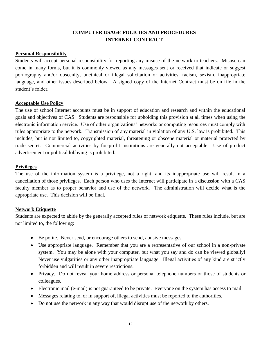#### **COMPUTER USAGE POLICIES AND PROCEDURES INTERNET CONTRACT**

#### **Personal Responsibility**

Students will accept personal responsibility for reporting any misuse of the network to teachers. Misuse can come in many forms, but it is commonly viewed as any messages sent or received that indicate or suggest pornography and/or obscenity, unethical or illegal solicitation or activities, racism, sexism, inappropriate language, and other issues described below. A signed copy of the Internet Contract must be on file in the student's folder.

#### **Acceptable Use Policy**

The use of school Internet accounts must be in support of education and research and within the educational goals and objectives of CAS. Students are responsible for upholding this provision at all times when using the electronic information service. Use of other organizations' networks or computing resources must comply with rules appropriate to the network. Transmission of any material in violation of any U.S. law is prohibited. This includes, but is not limited to, copyrighted material, threatening or obscene material or material protected by trade secret. Commercial activities by for-profit institutions are generally not acceptable. Use of product advertisement or political lobbying is prohibited.

#### **Privileges**

The use of the information system is a privilege, not a right, and its inappropriate use will result in a cancellation of those privileges. Each person who uses the Internet will participate in a discussion with a CAS faculty member as to proper behavior and use of the network. The administration will decide what is the appropriate use. This decision will be final.

#### **Network Etiquette**

Students are expected to abide by the generally accepted rules of network etiquette. These rules include, but are not limited to, the following:

- Be polite. Never send, or encourage others to send, abusive messages.
- Use appropriate language. Remember that you are a representative of our school in a non-private system. You may be alone with your computer, but what you say and do can be viewed globally! Never use vulgarities or any other inappropriate language. Illegal activities of any kind are strictly forbidden and will result in severe restrictions.
- Privacy. Do not reveal your home address or personal telephone numbers or those of students or colleagues.
- Electronic mail (e-mail) is not guaranteed to be private. Everyone on the system has access to mail.
- Messages relating to, or in support of, illegal activities must be reported to the authorities.
- Do not use the network in any way that would disrupt use of the network by others.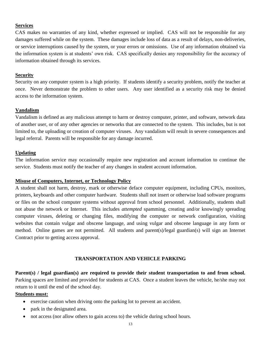#### **Services**

CAS makes no warranties of any kind, whether expressed or implied. CAS will not be responsible for any damages suffered while on the system. These damages include loss of data as a result of delays, non-deliveries, or service interruptions caused by the system, or your errors or omissions. Use of any information obtained via the information system is at students' own risk. CAS specifically denies any responsibility for the accuracy of information obtained through its services.

#### **Security**

Security on any computer system is a high priority. If students identify a security problem, notify the teacher at once. Never demonstrate the problem to other users. Any user identified as a security risk may be denied access to the information system.

#### **Vandalism**

Vandalism is defined as any malicious attempt to harm or destroy computer, printer, and software, network data of another user, or of any other agencies or networks that are connected to the system. This includes, but is not limited to, the uploading or creation of computer viruses. Any vandalism will result in severe consequences and legal referral. Parents will be responsible for any damage incurred.

#### **Updating**

The information service may occasionally require new registration and account information to continue the service. Students must notify the teacher of any changes in student account information.

#### **Misuse of Computers, Internet, or Technology Policy**

A student shall not harm, destroy, mark or otherwise deface computer equipment, including CPUs, monitors, printers, keyboards and other computer hardware. Students shall not insert or otherwise load software programs or files on the school computer systems without approval from school personnel. Additionally, students shall not abuse the network or Internet. This includes *attempted* spamming, creating and/or knowingly spreading computer viruses, deleting or changing files, modifying the computer or network configuration, visiting websites that contain vulgar and obscene language, and using vulgar and obscene language in any form or method. Online games are not permitted. All students and parent(s)/legal guardian(s) will sign an Internet Contract prior to getting access approval.

#### **TRANSPORTATION AND VEHICLE PARKING**

Parent(s) / legal guardian(s) are required to provide their student transportation to and from school. Parking spaces are limited and provided for students at CAS. Once a student leaves the vehicle, he/she may not return to it until the end of the school day.

#### **Students must:**

- exercise caution when driving onto the parking lot to prevent an accident.
- park in the designated area.
- not access (nor allow others to gain access to) the vehicle during school hours.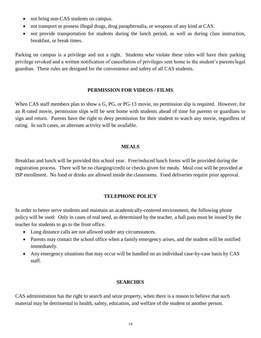- not bring non-CAS students on campus.
- not transport or possess illegal drugs, drug paraphernalia, or weapons of any kind at CAS.
- not provide transportation for students during the lunch period, as well as during class instruction, breakfast, or break times.

Parking on campus is a privilege and not a right. Students who violate these rules will have their parking privilege revoked and a written notification of cancellation of privileges sent home to the student's parents/legal guardian. These rules are designed for the convenience and safety of all CAS students.

#### **PERMISSION FOR VIDEOS / FILMS**

When CAS staff members plan to show a G, PG, or PG-13 movie, no permission slip is required. However, for an R-rated movie, permission slips will be sent home with students ahead of time for parents or guardians to sign and return. Parents have the right to deny permission for their student to watch any movie, regardless of rating. In such cases, an alternate activity will be available.

#### **MEALS**

Breakfast and lunch will be provided this school year. Free/reduced lunch forms will be provided during the registration process. There will be no charging/credit or checks given for meals. Meal cost will be provided at ISP enrollment. No food or drinks are allowed inside the classrooms. Food deliveries require prior approval.

#### **TELEPHONE POLICY**

In order to better serve students and maintain an academically-centered environment, the following phone policy will be used: Only in cases of real need, as determined by the teacher, a hall pass must be issued by the teacher for students to go to the front office.

- Long distance calls are not allowed under any circumstances.
- Parents may contact the school office when a family emergency arises, and the student will be notified immediately.
- Any emergency situations that may occur will be handled on an individual case-by-case basis by CAS staff.

#### **SEARCHES**

CAS administration has the right to search and seize property, when there is a reason to believe that such material may be detrimental to health, safety, education, and welfare of the student or another person.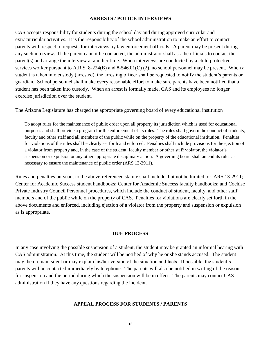#### **ARRESTS / POLICE INTERVIEWS**

CAS accepts responsibility for students during the school day and during approved curricular and extracurricular activities. It is the responsibility of the school administration to make an effort to contact parents with respect to requests for interviews by law enforcement officials. A parent may be present during any such interview. If the parent cannot be contacted, the administrator shall ask the officials to contact the parent(s) and arrange the interview at another time. When interviews are conducted by a child protective services worker pursuant to A.R.S. 8-224(B) and 8-546.01(C) (2), no school personnel may be present. When a student is taken into custody (arrested), the arresting officer shall be requested to notify the student's parents or guardian. School personnel shall make every reasonable effort to make sure parents have been notified that a student has been taken into custody. When an arrest is formally made, CAS and its employees no longer exercise jurisdiction over the student.

The Arizona Legislature has charged the appropriate governing board of every educational institution

To adopt rules for the maintenance of public order upon all property its jurisdiction which is used for educational purposes and shall provide a program for the enforcement of its rules. The rules shall govern the conduct of students, faculty and other staff and all members of the public while on the property of the educational institution. Penalties for violations of the rules shall be clearly set forth and enforced. Penalties shall include provisions for the ejection of a violator from property and, in the case of the student, faculty member or other staff violator, the violator's suspension or expulsion or any other appropriate disciplinary action. A governing board shall amend its rules as necessary to ensure the maintenance of public order (ARS 13-2911).

Rules and penalties pursuant to the above-referenced statute shall include, but not be limited to: ARS 13-2911; Center for Academic Success student handbooks; Center for Academic Success faculty handbooks; and Cochise Private Industry Council Personnel procedures, which include the conduct of student, faculty, and other staff members and of the public while on the property of CAS. Penalties for violations are clearly set forth in the above documents and enforced, including ejection of a violator from the property and suspension or expulsion as is appropriate.

#### **DUE PROCESS**

In any case involving the possible suspension of a student, the student may be granted an informal hearing with CAS administration. At this time, the student will be notified of why he or she stands accused. The student may then remain silent or may explain his/her version of the situation and facts. If possible, the student's parents will be contacted immediately by telephone. The parents will also be notified in writing of the reason for suspension and the period during which the suspension will be in effect. The parents may contact CAS administration if they have any questions regarding the incident.

#### **APPEAL PROCESS FOR STUDENTS / PARENTS**